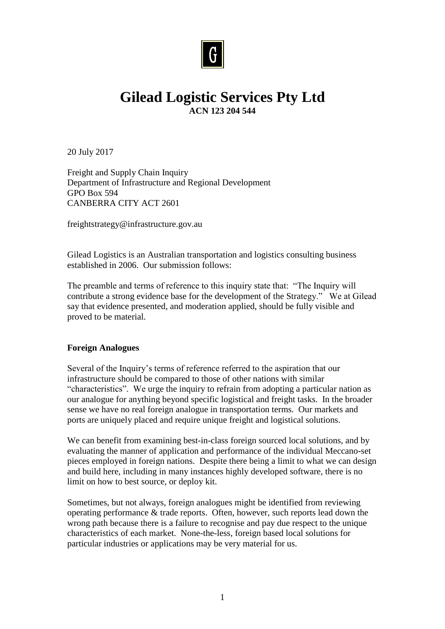

# **Gilead Logistic Services Pty Ltd ACN 123 204 544**

20 July 2017

Freight and Supply Chain Inquiry Department of Infrastructure and Regional Development GPO Box 594 CANBERRA CITY ACT 2601

freightstrategy@infrastructure.gov.au

Gilead Logistics is an Australian transportation and logistics consulting business established in 2006. Our submission follows:

The preamble and terms of reference to this inquiry state that: "The Inquiry will contribute a strong evidence base for the development of the Strategy." We at Gilead say that evidence presented, and moderation applied, should be fully visible and proved to be material.

#### **Foreign Analogues**

Several of the Inquiry's terms of reference referred to the aspiration that our infrastructure should be compared to those of other nations with similar "characteristics". We urge the inquiry to refrain from adopting a particular nation as our analogue for anything beyond specific logistical and freight tasks. In the broader sense we have no real foreign analogue in transportation terms. Our markets and ports are uniquely placed and require unique freight and logistical solutions.

We can benefit from examining best-in-class foreign sourced local solutions, and by evaluating the manner of application and performance of the individual Meccano-set pieces employed in foreign nations. Despite there being a limit to what we can design and build here, including in many instances highly developed software, there is no limit on how to best source, or deploy kit.

Sometimes, but not always, foreign analogues might be identified from reviewing operating performance & trade reports. Often, however, such reports lead down the wrong path because there is a failure to recognise and pay due respect to the unique characteristics of each market. None-the-less, foreign based local solutions for particular industries or applications may be very material for us.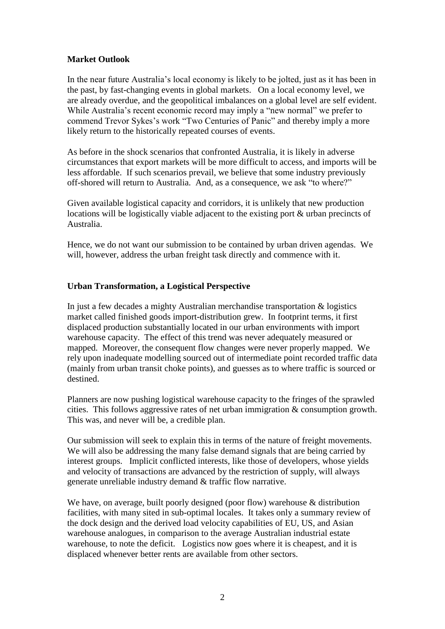## **Market Outlook**

In the near future Australia's local economy is likely to be jolted, just as it has been in the past, by fast-changing events in global markets. On a local economy level, we are already overdue, and the geopolitical imbalances on a global level are self evident. While Australia's recent economic record may imply a "new normal" we prefer to commend Trevor Sykes's work "Two Centuries of Panic" and thereby imply a more likely return to the historically repeated courses of events.

As before in the shock scenarios that confronted Australia, it is likely in adverse circumstances that export markets will be more difficult to access, and imports will be less affordable. If such scenarios prevail, we believe that some industry previously off-shored will return to Australia. And, as a consequence, we ask "to where?"

Given available logistical capacity and corridors, it is unlikely that new production locations will be logistically viable adjacent to the existing port & urban precincts of Australia.

Hence, we do not want our submission to be contained by urban driven agendas. We will, however, address the urban freight task directly and commence with it.

# **Urban Transformation, a Logistical Perspective**

In just a few decades a mighty Australian merchandise transportation & logistics market called finished goods import-distribution grew. In footprint terms, it first displaced production substantially located in our urban environments with import warehouse capacity. The effect of this trend was never adequately measured or mapped. Moreover, the consequent flow changes were never properly mapped. We rely upon inadequate modelling sourced out of intermediate point recorded traffic data (mainly from urban transit choke points), and guesses as to where traffic is sourced or destined.

Planners are now pushing logistical warehouse capacity to the fringes of the sprawled cities. This follows aggressive rates of net urban immigration & consumption growth. This was, and never will be, a credible plan.

Our submission will seek to explain this in terms of the nature of freight movements. We will also be addressing the many false demand signals that are being carried by interest groups. Implicit conflicted interests, like those of developers, whose yields and velocity of transactions are advanced by the restriction of supply, will always generate unreliable industry demand & traffic flow narrative.

We have, on average, built poorly designed (poor flow) warehouse & distribution facilities, with many sited in sub-optimal locales. It takes only a summary review of the dock design and the derived load velocity capabilities of EU, US, and Asian warehouse analogues, in comparison to the average Australian industrial estate warehouse, to note the deficit. Logistics now goes where it is cheapest, and it is displaced whenever better rents are available from other sectors.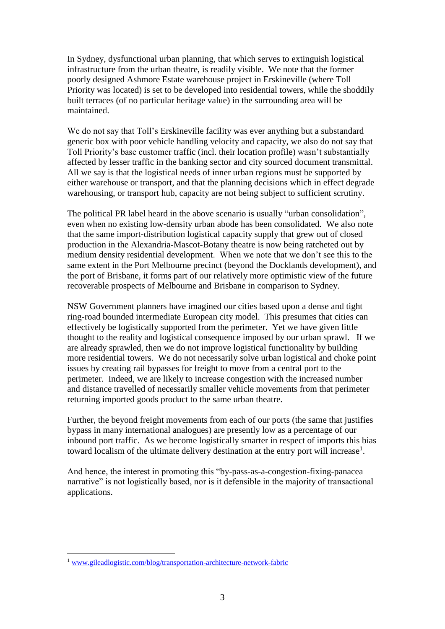In Sydney, dysfunctional urban planning, that which serves to extinguish logistical infrastructure from the urban theatre, is readily visible. We note that the former poorly designed Ashmore Estate warehouse project in Erskineville (where Toll Priority was located) is set to be developed into residential towers, while the shoddily built terraces (of no particular heritage value) in the surrounding area will be maintained.

We do not say that Toll's Erskineville facility was ever anything but a substandard generic box with poor vehicle handling velocity and capacity, we also do not say that Toll Priority's base customer traffic (incl. their location profile) wasn't substantially affected by lesser traffic in the banking sector and city sourced document transmittal. All we say is that the logistical needs of inner urban regions must be supported by either warehouse or transport, and that the planning decisions which in effect degrade warehousing, or transport hub, capacity are not being subject to sufficient scrutiny.

The political PR label heard in the above scenario is usually "urban consolidation", even when no existing low-density urban abode has been consolidated. We also note that the same import-distribution logistical capacity supply that grew out of closed production in the Alexandria-Mascot-Botany theatre is now being ratcheted out by medium density residential development. When we note that we don't see this to the same extent in the Port Melbourne precinct (beyond the Docklands development), and the port of Brisbane, it forms part of our relatively more optimistic view of the future recoverable prospects of Melbourne and Brisbane in comparison to Sydney.

NSW Government planners have imagined our cities based upon a dense and tight ring-road bounded intermediate European city model. This presumes that cities can effectively be logistically supported from the perimeter. Yet we have given little thought to the reality and logistical consequence imposed by our urban sprawl. If we are already sprawled, then we do not improve logistical functionality by building more residential towers. We do not necessarily solve urban logistical and choke point issues by creating rail bypasses for freight to move from a central port to the perimeter. Indeed, we are likely to increase congestion with the increased number and distance travelled of necessarily smaller vehicle movements from that perimeter returning imported goods product to the same urban theatre.

Further, the beyond freight movements from each of our ports (the same that justifies bypass in many international analogues) are presently low as a percentage of our inbound port traffic. As we become logistically smarter in respect of imports this bias toward localism of the ultimate delivery destination at the entry port will increase<sup>1</sup>.

And hence, the interest in promoting this "by-pass-as-a-congestion-fixing-panacea narrative" is not logistically based, nor is it defensible in the majority of transactional applications.

<sup>1</sup> [www.gileadlogistic.com/blog/transportation-architecture-network-fabric](http://www.gileadlogistic.com/blog/transportation-architecture-network-fabric)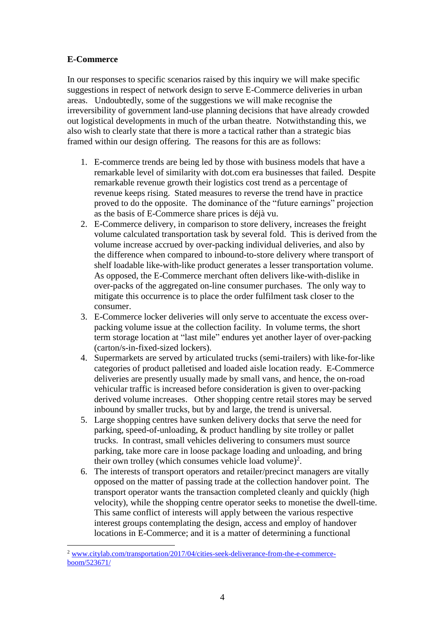## **E-Commerce**

1

In our responses to specific scenarios raised by this inquiry we will make specific suggestions in respect of network design to serve E-Commerce deliveries in urban areas. Undoubtedly, some of the suggestions we will make recognise the irreversibility of government land-use planning decisions that have already crowded out logistical developments in much of the urban theatre. Notwithstanding this, we also wish to clearly state that there is more a tactical rather than a strategic bias framed within our design offering. The reasons for this are as follows:

- 1. E-commerce trends are being led by those with business models that have a remarkable level of similarity with dot.com era businesses that failed. Despite remarkable revenue growth their logistics cost trend as a percentage of revenue keeps rising. Stated measures to reverse the trend have in practice proved to do the opposite. The dominance of the "future earnings" projection as the basis of E-Commerce share prices is déjà vu.
- 2. E-Commerce delivery, in comparison to store delivery, increases the freight volume calculated transportation task by several fold. This is derived from the volume increase accrued by over-packing individual deliveries, and also by the difference when compared to inbound-to-store delivery where transport of shelf loadable like-with-like product generates a lesser transportation volume. As opposed, the E-Commerce merchant often delivers like-with-dislike in over-packs of the aggregated on-line consumer purchases. The only way to mitigate this occurrence is to place the order fulfilment task closer to the consumer.
- 3. E-Commerce locker deliveries will only serve to accentuate the excess overpacking volume issue at the collection facility. In volume terms, the short term storage location at "last mile" endures yet another layer of over-packing (carton/s-in-fixed-sized lockers).
- 4. Supermarkets are served by articulated trucks (semi-trailers) with like-for-like categories of product palletised and loaded aisle location ready. E-Commerce deliveries are presently usually made by small vans, and hence, the on-road vehicular traffic is increased before consideration is given to over-packing derived volume increases. Other shopping centre retail stores may be served inbound by smaller trucks, but by and large, the trend is universal.
- 5. Large shopping centres have sunken delivery docks that serve the need for parking, speed-of-unloading, & product handling by site trolley or pallet trucks. In contrast, small vehicles delivering to consumers must source parking, take more care in loose package loading and unloading, and bring their own trolley (which consumes vehicle load volume)<sup>2</sup>.
- 6. The interests of transport operators and retailer/precinct managers are vitally opposed on the matter of passing trade at the collection handover point. The transport operator wants the transaction completed cleanly and quickly (high velocity), while the shopping centre operator seeks to monetise the dwell-time. This same conflict of interests will apply between the various respective interest groups contemplating the design, access and employ of handover locations in E-Commerce; and it is a matter of determining a functional

<sup>2</sup> [www.citylab.com/transportation/2017/04/cities-seek-deliverance-from-the-e-commerce](http://www.citylab.com/transportation/2017/04/cities-seek-deliverance-from-the-e-commerce-boom/523671/)[boom/523671/](http://www.citylab.com/transportation/2017/04/cities-seek-deliverance-from-the-e-commerce-boom/523671/)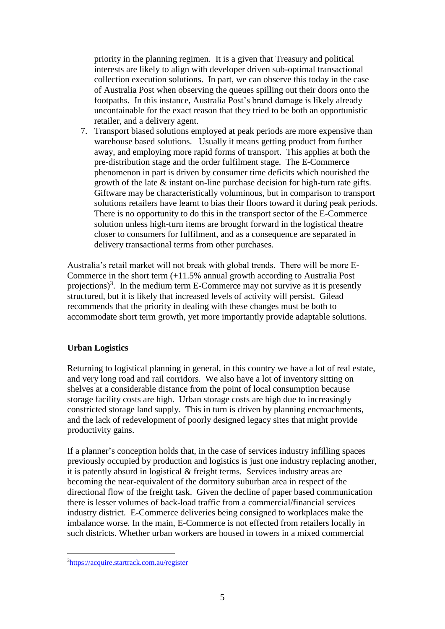priority in the planning regimen. It is a given that Treasury and political interests are likely to align with developer driven sub-optimal transactional collection execution solutions. In part, we can observe this today in the case of Australia Post when observing the queues spilling out their doors onto the footpaths. In this instance, Australia Post's brand damage is likely already uncontainable for the exact reason that they tried to be both an opportunistic retailer, and a delivery agent.

7. Transport biased solutions employed at peak periods are more expensive than warehouse based solutions. Usually it means getting product from further away, and employing more rapid forms of transport. This applies at both the pre-distribution stage and the order fulfilment stage. The E-Commerce phenomenon in part is driven by consumer time deficits which nourished the growth of the late & instant on-line purchase decision for high-turn rate gifts. Giftware may be characteristically voluminous, but in comparison to transport solutions retailers have learnt to bias their floors toward it during peak periods. There is no opportunity to do this in the transport sector of the E-Commerce solution unless high-turn items are brought forward in the logistical theatre closer to consumers for fulfilment, and as a consequence are separated in delivery transactional terms from other purchases.

Australia's retail market will not break with global trends. There will be more E-Commerce in the short term (+11.5% annual growth according to Australia Post projections)<sup>3</sup>. In the medium term E-Commerce may not survive as it is presently structured, but it is likely that increased levels of activity will persist. Gilead recommends that the priority in dealing with these changes must be both to accommodate short term growth, yet more importantly provide adaptable solutions.

### **Urban Logistics**

Returning to logistical planning in general, in this country we have a lot of real estate, and very long road and rail corridors. We also have a lot of inventory sitting on shelves at a considerable distance from the point of local consumption because storage facility costs are high. Urban storage costs are high due to increasingly constricted storage land supply. This in turn is driven by planning encroachments, and the lack of redevelopment of poorly designed legacy sites that might provide productivity gains.

If a planner's conception holds that, in the case of services industry infilling spaces previously occupied by production and logistics is just one industry replacing another, it is patently absurd in logistical & freight terms. Services industry areas are becoming the near-equivalent of the dormitory suburban area in respect of the directional flow of the freight task. Given the decline of paper based communication there is lesser volumes of back-load traffic from a commercial/financial services industry district. E-Commerce deliveries being consigned to workplaces make the imbalance worse. In the main, E-Commerce is not effected from retailers locally in such districts. Whether urban workers are housed in towers in a mixed commercial

<sup>3</sup><https://acquire.startrack.com.au/register>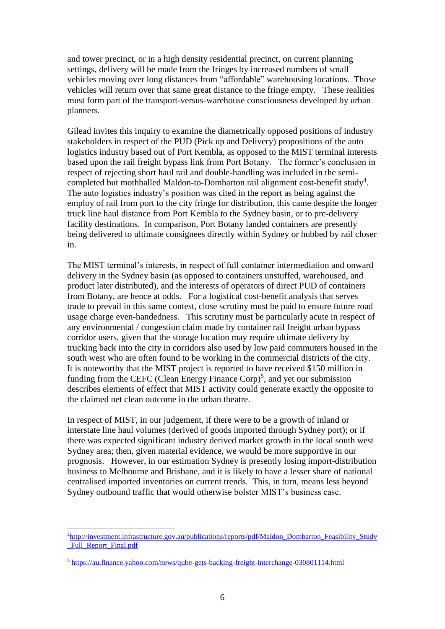and tower precinct, or in a high density residential precinct, on current planning settings, delivery will be made from the fringes by increased numbers of small vehicles moving over long distances from "affordable" warehousing locations. Those vehicles will return over that same great distance to the fringe empty. These realities must form part of the transport-versus-warehouse consciousness developed by urban planners.

Gilead invites this inquiry to examine the diametrically opposed positions of industry stakeholders in respect of the PUD (Pick up and Delivery) propositions of the auto logistics industry based out of Port Kembla, as opposed to the MIST terminal interests based upon the rail freight bypass link from Port Botany. The former's conclusion in respect of rejecting short haul rail and double-handling was included in the semicompleted but mothballed Maldon-to-Dombarton rail alignment cost-benefit study<sup>4</sup>. The auto logistics industry's position was cited in the report as being against the employ of rail from port to the city fringe for distribution, this came despite the longer truck line haul distance from Port Kembla to the Sydney basin, or to pre-delivery facility destinations. In comparison, Port Botany landed containers are presently being delivered to ultimate consignees directly within Sydney or hubbed by rail closer in.

The MIST terminal's interests, in respect of full container intermediation and onward delivery in the Sydney basin (as opposed to containers unstuffed, warehoused, and product later distributed), and the interests of operators of direct PUD of containers from Botany, are hence at odds. For a logistical cost-benefit analysis that serves trade to prevail in this same contest, close scrutiny must be paid to ensure future road usage charge even-handedness. This scrutiny must be particularly acute in respect of any environmental / congestion claim made by container rail freight urban bypass corridor users, given that the storage location may require ultimate delivery by trucking back into the city in corridors also used by low paid commuters housed in the south west who are often found to be working in the commercial districts of the city. It is noteworthy that the MIST project is reported to have received \$150 million in funding from the CEFC (Clean Energy Finance Corp)<sup>5</sup>, and yet our submission describes elements of effect that MIST activity could generate exactly the opposite to the claimed net clean outcome in the urban theatre.

In respect of MIST, in our judgement, if there were to be a growth of inland or interstate line haul volumes (derived of goods imported through Sydney port); or if there was expected significant industry derived market growth in the local south west Sydney area; then, given material evidence, we would be more supportive in our prognosis. However, in our estimation Sydney is presently losing import-distribution business to Melbourne and Brisbane, and it is likely to have a lesser share of national centralised imported inventories on current trends. This, in turn, means less beyond Sydney outbound traffic that would otherwise bolster MIST's business case.

<sup>4</sup>[http://investment.infrastructure.gov.au/publications/reports/pdf/Maldon\\_Dombarton\\_Feasibility\\_Study](http://investment.infrastructure.gov.au/publications/reports/pdf/Maldon_Dombarton_Feasibility_Study_Full_Report_Final.pdf) Full Report Final.pdf

<sup>5</sup> <https://au.finance.yahoo.com/news/qube-gets-backing-freight-interchange-030801114.html>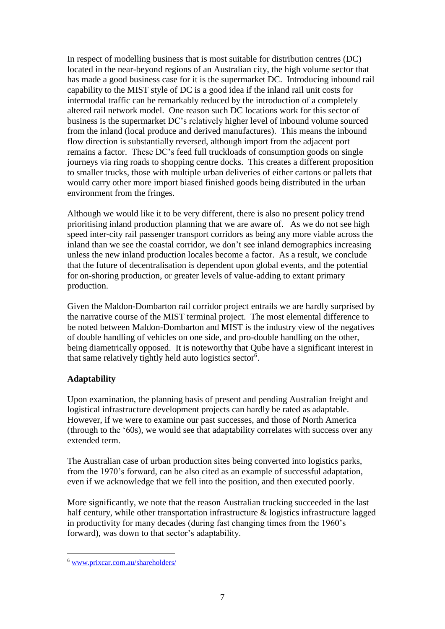In respect of modelling business that is most suitable for distribution centres (DC) located in the near-beyond regions of an Australian city, the high volume sector that has made a good business case for it is the supermarket DC. Introducing inbound rail capability to the MIST style of DC is a good idea if the inland rail unit costs for intermodal traffic can be remarkably reduced by the introduction of a completely altered rail network model. One reason such DC locations work for this sector of business is the supermarket DC's relatively higher level of inbound volume sourced from the inland (local produce and derived manufactures). This means the inbound flow direction is substantially reversed, although import from the adjacent port remains a factor. These DC's feed full truckloads of consumption goods on single journeys via ring roads to shopping centre docks. This creates a different proposition to smaller trucks, those with multiple urban deliveries of either cartons or pallets that would carry other more import biased finished goods being distributed in the urban environment from the fringes.

Although we would like it to be very different, there is also no present policy trend prioritising inland production planning that we are aware of. As we do not see high speed inter-city rail passenger transport corridors as being any more viable across the inland than we see the coastal corridor, we don't see inland demographics increasing unless the new inland production locales become a factor. As a result, we conclude that the future of decentralisation is dependent upon global events, and the potential for on-shoring production, or greater levels of value-adding to extant primary production.

Given the Maldon-Dombarton rail corridor project entrails we are hardly surprised by the narrative course of the MIST terminal project. The most elemental difference to be noted between Maldon-Dombarton and MIST is the industry view of the negatives of double handling of vehicles on one side, and pro-double handling on the other, being diametrically opposed. It is noteworthy that Qube have a significant interest in that same relatively tightly held auto logistics sector<sup>6</sup>.

# **Adaptability**

Upon examination, the planning basis of present and pending Australian freight and logistical infrastructure development projects can hardly be rated as adaptable. However, if we were to examine our past successes, and those of North America (through to the '60s), we would see that adaptability correlates with success over any extended term.

The Australian case of urban production sites being converted into logistics parks, from the 1970's forward, can be also cited as an example of successful adaptation, even if we acknowledge that we fell into the position, and then executed poorly.

More significantly, we note that the reason Australian trucking succeeded in the last half century, while other transportation infrastructure & logistics infrastructure lagged in productivity for many decades (during fast changing times from the 1960's forward), was down to that sector's adaptability.

<sup>6</sup> [www.prixcar.com.au/shareholders/](http://www.prixcar.com.au/shareholders/)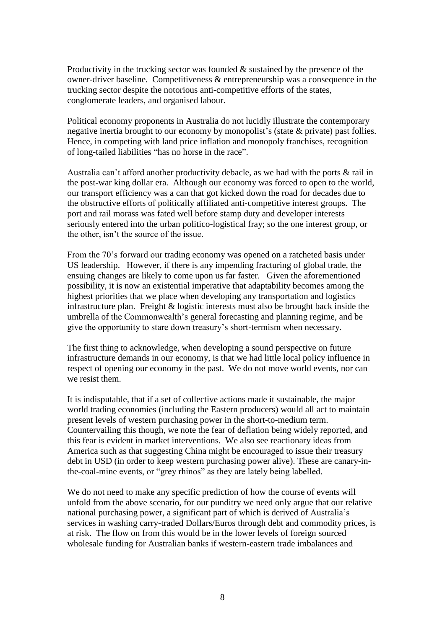Productivity in the trucking sector was founded & sustained by the presence of the owner-driver baseline. Competitiveness & entrepreneurship was a consequence in the trucking sector despite the notorious anti-competitive efforts of the states, conglomerate leaders, and organised labour.

Political economy proponents in Australia do not lucidly illustrate the contemporary negative inertia brought to our economy by monopolist's (state & private) past follies. Hence, in competing with land price inflation and monopoly franchises, recognition of long-tailed liabilities "has no horse in the race".

Australia can't afford another productivity debacle, as we had with the ports & rail in the post-war king dollar era. Although our economy was forced to open to the world, our transport efficiency was a can that got kicked down the road for decades due to the obstructive efforts of politically affiliated anti-competitive interest groups. The port and rail morass was fated well before stamp duty and developer interests seriously entered into the urban politico-logistical fray; so the one interest group, or the other, isn't the source of the issue.

From the 70's forward our trading economy was opened on a ratcheted basis under US leadership. However, if there is any impending fracturing of global trade, the ensuing changes are likely to come upon us far faster. Given the aforementioned possibility, it is now an existential imperative that adaptability becomes among the highest priorities that we place when developing any transportation and logistics infrastructure plan. Freight & logistic interests must also be brought back inside the umbrella of the Commonwealth's general forecasting and planning regime, and be give the opportunity to stare down treasury's short-termism when necessary.

The first thing to acknowledge, when developing a sound perspective on future infrastructure demands in our economy, is that we had little local policy influence in respect of opening our economy in the past. We do not move world events, nor can we resist them.

It is indisputable, that if a set of collective actions made it sustainable, the major world trading economies (including the Eastern producers) would all act to maintain present levels of western purchasing power in the short-to-medium term. Countervailing this though, we note the fear of deflation being widely reported, and this fear is evident in market interventions. We also see reactionary ideas from America such as that suggesting China might be encouraged to issue their treasury debt in USD (in order to keep western purchasing power alive). These are canary-inthe-coal-mine events, or "grey rhinos" as they are lately being labelled.

We do not need to make any specific prediction of how the course of events will unfold from the above scenario, for our punditry we need only argue that our relative national purchasing power, a significant part of which is derived of Australia's services in washing carry-traded Dollars/Euros through debt and commodity prices, is at risk. The flow on from this would be in the lower levels of foreign sourced wholesale funding for Australian banks if western-eastern trade imbalances and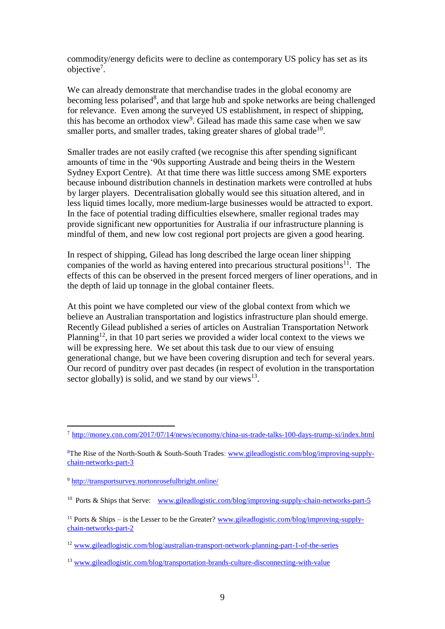commodity/energy deficits were to decline as contemporary US policy has set as its objective<sup>7</sup>.

We can already demonstrate that merchandise trades in the global economy are becoming less polarised<sup>8</sup>, and that large hub and spoke networks are being challenged for relevance. Even among the surveyed US establishment, in respect of shipping, this has become an orthodox view<sup>9</sup>. Gilead has made this same case when we saw smaller ports, and smaller trades, taking greater shares of global trade<sup>10</sup>.

Smaller trades are not easily crafted (we recognise this after spending significant amounts of time in the '90s supporting Austrade and being theirs in the Western Sydney Export Centre). At that time there was little success among SME exporters because inbound distribution channels in destination markets were controlled at hubs by larger players. Decentralisation globally would see this situation altered, and in less liquid times locally, more medium-large businesses would be attracted to export. In the face of potential trading difficulties elsewhere, smaller regional trades may provide significant new opportunities for Australia if our infrastructure planning is mindful of them, and new low cost regional port projects are given a good hearing.

In respect of shipping, Gilead has long described the large ocean liner shipping companies of the world as having entered into precarious structural positions $^{11}$ . The effects of this can be observed in the present forced mergers of liner operations, and in the depth of laid up tonnage in the global container fleets.

At this point we have completed our view of the global context from which we believe an Australian transportation and logistics infrastructure plan should emerge. Recently Gilead published a series of articles on Australian Transportation Network Planning<sup>12</sup>, in that 10 part series we provided a wider local context to the views we will be expressing here. We set about this task due to our view of ensuing generational change, but we have been covering disruption and tech for several years. Our record of punditry over past decades (in respect of evolution in the transportation sector globally) is solid, and we stand by our views $^{13}$ .

<u>.</u>

<sup>7</sup> <http://money.cnn.com/2017/07/14/news/economy/china-us-trade-talks-100-days-trump-xi/index.html>

<sup>8</sup>The Rise of the North-South & South-South Trades: [www.gileadlogistic.com/blog/improving-supply](http://www.gileadlogistic.com/blog/improving-supply-chain-networks-part-3)[chain-networks-part-3](http://www.gileadlogistic.com/blog/improving-supply-chain-networks-part-3)

<sup>9</sup> <http://transportsurvey.nortonrosefulbright.online/>

<sup>10</sup> Ports & Ships that Serve:[www.gileadlogistic.com/blog/improving-supply-chain-networks-part-5](http://www.gileadlogistic.com/blog/improving-supply-chain-networks-part-5)

<sup>&</sup>lt;sup>11</sup> Ports & Ships – is the Lesser to be the Greater? [www.gileadlogistic.com/blog/improving-supply](http://www.gileadlogistic.com/blog/improving-supply-chain-networks-part-2)[chain-networks-part-2](http://www.gileadlogistic.com/blog/improving-supply-chain-networks-part-2)

<sup>12</sup> [www.gileadlogistic.com/blog/australian-transport-network-planning-part-1-of-the-series](http://www.gileadlogistic.com/blog/australian-transport-network-planning-part-1-of-the-series)

<sup>13</sup> [www.gileadlogistic.com/blog/transportation-brands-culture-disconnecting-with-value](http://www.gileadlogistic.com/blog/transportation-brands-culture-disconnecting-with-value)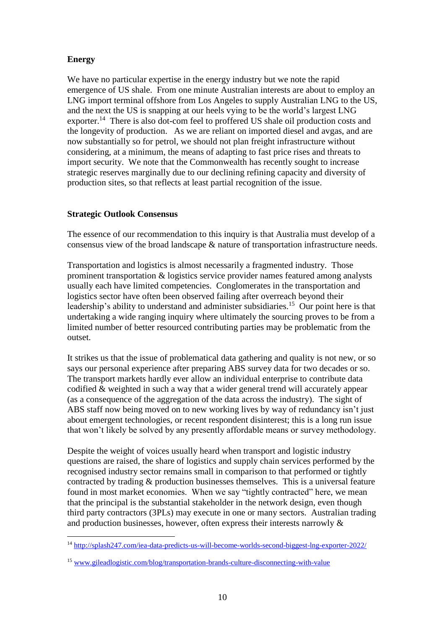# **Energy**

We have no particular expertise in the energy industry but we note the rapid emergence of US shale. From one minute Australian interests are about to employ an LNG import terminal offshore from Los Angeles to supply Australian LNG to the US, and the next the US is snapping at our heels vying to be the world's largest LNG exporter.<sup>14</sup> There is also dot-com feel to proffered US shale oil production costs and the longevity of production. As we are reliant on imported diesel and avgas, and are now substantially so for petrol, we should not plan freight infrastructure without considering, at a minimum, the means of adapting to fast price rises and threats to import security. We note that the Commonwealth has recently sought to increase strategic reserves marginally due to our declining refining capacity and diversity of production sites, so that reflects at least partial recognition of the issue.

# **Strategic Outlook Consensus**

The essence of our recommendation to this inquiry is that Australia must develop of a consensus view of the broad landscape & nature of transportation infrastructure needs.

Transportation and logistics is almost necessarily a fragmented industry. Those prominent transportation & logistics service provider names featured among analysts usually each have limited competencies. Conglomerates in the transportation and logistics sector have often been observed failing after overreach beyond their leadership's ability to understand and administer subsidiaries.<sup>15</sup> Our point here is that undertaking a wide ranging inquiry where ultimately the sourcing proves to be from a limited number of better resourced contributing parties may be problematic from the outset.

It strikes us that the issue of problematical data gathering and quality is not new, or so says our personal experience after preparing ABS survey data for two decades or so. The transport markets hardly ever allow an individual enterprise to contribute data codified & weighted in such a way that a wider general trend will accurately appear (as a consequence of the aggregation of the data across the industry). The sight of ABS staff now being moved on to new working lives by way of redundancy isn't just about emergent technologies, or recent respondent disinterest; this is a long run issue that won't likely be solved by any presently affordable means or survey methodology.

Despite the weight of voices usually heard when transport and logistic industry questions are raised, the share of logistics and supply chain services performed by the recognised industry sector remains small in comparison to that performed or tightly contracted by trading & production businesses themselves. This is a universal feature found in most market economies. When we say "tightly contracted" here, we mean that the principal is the substantial stakeholder in the network design, even though third party contractors (3PLs) may execute in one or many sectors. Australian trading and production businesses, however, often express their interests narrowly &

<sup>&</sup>lt;u>.</u> <sup>14</sup> <http://splash247.com/iea-data-predicts-us-will-become-worlds-second-biggest-lng-exporter-2022/>

<sup>15</sup> [www.gileadlogistic.com/blog/transportation-brands-culture-disconnecting-with-value](http://www.gileadlogistic.com/blog/transportation-brands-culture-disconnecting-with-value)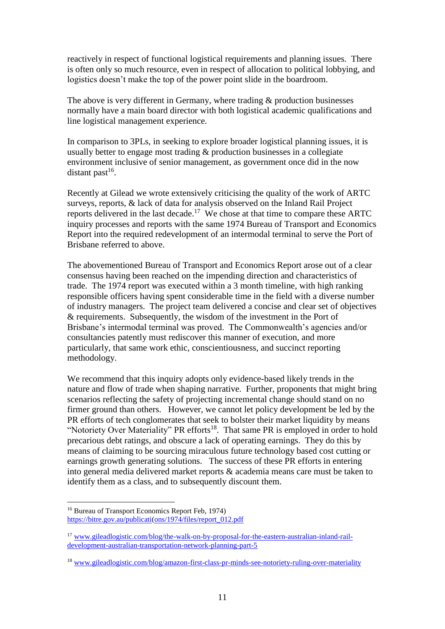reactively in respect of functional logistical requirements and planning issues. There is often only so much resource, even in respect of allocation to political lobbying, and logistics doesn't make the top of the power point slide in the boardroom.

The above is very different in Germany, where trading & production businesses normally have a main board director with both logistical academic qualifications and line logistical management experience.

In comparison to 3PLs, in seeking to explore broader logistical planning issues, it is usually better to engage most trading & production businesses in a collegiate environment inclusive of senior management, as government once did in the now distant past $^{16}$ .

Recently at Gilead we wrote extensively criticising the quality of the work of ARTC surveys, reports, & lack of data for analysis observed on the Inland Rail Project reports delivered in the last decade.<sup>17</sup> We chose at that time to compare these ARTC inquiry processes and reports with the same 1974 Bureau of Transport and Economics Report into the required redevelopment of an intermodal terminal to serve the Port of Brisbane referred to above.

The abovementioned Bureau of Transport and Economics Report arose out of a clear consensus having been reached on the impending direction and characteristics of trade. The 1974 report was executed within a 3 month timeline, with high ranking responsible officers having spent considerable time in the field with a diverse number of industry managers. The project team delivered a concise and clear set of objectives & requirements. Subsequently, the wisdom of the investment in the Port of Brisbane's intermodal terminal was proved. The Commonwealth's agencies and/or consultancies patently must rediscover this manner of execution, and more particularly, that same work ethic, conscientiousness, and succinct reporting methodology.

We recommend that this inquiry adopts only evidence-based likely trends in the nature and flow of trade when shaping narrative. Further, proponents that might bring scenarios reflecting the safety of projecting incremental change should stand on no firmer ground than others. However, we cannot let policy development be led by the PR efforts of tech conglomerates that seek to bolster their market liquidity by means "Notoriety Over Materiality" PR efforts<sup>18</sup>. That same PR is employed in order to hold precarious debt ratings, and obscure a lack of operating earnings. They do this by means of claiming to be sourcing miraculous future technology based cost cutting or earnings growth generating solutions. The success of these PR efforts in entering into general media delivered market reports & academia means care must be taken to identify them as a class, and to subsequently discount them.

<u>.</u>

<sup>16</sup> Bureau of Transport Economics Report Feb, 1974) [https://bitre.gov.au/publicati\(ons/1974/files/report\\_012.pdf](https://bitre.gov.au/publications/1974/files/report_012.pdf)

<sup>17</sup> [www.gileadlogistic.com/blog/the-walk-on-by-proposal-for-the-eastern-australian-inland-rail](http://www.gileadlogistic.com/blog/the-walk-on-by-proposal-for-the-eastern-australian-inland-rail-development-australian-transportation-network-planning-part-5)[development-australian-transportation-network-planning-part-5](http://www.gileadlogistic.com/blog/the-walk-on-by-proposal-for-the-eastern-australian-inland-rail-development-australian-transportation-network-planning-part-5)

<sup>18</sup> [www.gileadlogistic.com/blog/amazon-first-class-pr-minds-see-notoriety-ruling-over-materiality](http://www.gileadlogistic.com/blog/amazon-first-class-pr-minds-see-notoriety-ruling-over-materiality)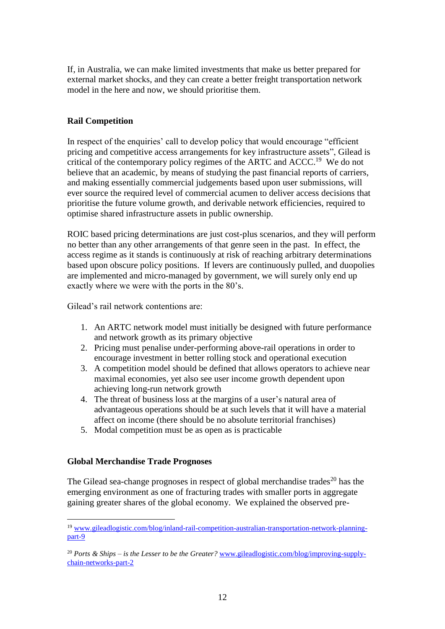If, in Australia, we can make limited investments that make us better prepared for external market shocks, and they can create a better freight transportation network model in the here and now, we should prioritise them.

## **Rail Competition**

In respect of the enquiries' call to develop policy that would encourage "efficient pricing and competitive access arrangements for key infrastructure assets", Gilead is critical of the contemporary policy regimes of the ARTC and ACCC.<sup>19</sup> We do not believe that an academic, by means of studying the past financial reports of carriers, and making essentially commercial judgements based upon user submissions, will ever source the required level of commercial acumen to deliver access decisions that prioritise the future volume growth, and derivable network efficiencies, required to optimise shared infrastructure assets in public ownership.

ROIC based pricing determinations are just cost-plus scenarios, and they will perform no better than any other arrangements of that genre seen in the past. In effect, the access regime as it stands is continuously at risk of reaching arbitrary determinations based upon obscure policy positions. If levers are continuously pulled, and duopolies are implemented and micro-managed by government, we will surely only end up exactly where we were with the ports in the 80's.

Gilead's rail network contentions are:

- 1. An ARTC network model must initially be designed with future performance and network growth as its primary objective
- 2. Pricing must penalise under-performing above-rail operations in order to encourage investment in better rolling stock and operational execution
- 3. A competition model should be defined that allows operators to achieve near maximal economies, yet also see user income growth dependent upon achieving long-run network growth
- 4. The threat of business loss at the margins of a user's natural area of advantageous operations should be at such levels that it will have a material affect on income (there should be no absolute territorial franchises)
- 5. Modal competition must be as open as is practicable

### **Global Merchandise Trade Prognoses**

1

The Gilead sea-change prognoses in respect of global merchandise trades<sup>20</sup> has the emerging environment as one of fracturing trades with smaller ports in aggregate gaining greater shares of the global economy. We explained the observed pre-

<sup>19</sup> [www.gileadlogistic.com/blog/inland-rail-competition-australian-transportation-network-planning](http://www.gileadlogistic.com/blog/inland-rail-competition-australian-transportation-network-planning-part-9)[part-9](http://www.gileadlogistic.com/blog/inland-rail-competition-australian-transportation-network-planning-part-9)

<sup>20</sup> *Ports & Ships – is the Lesser to be the Greater?* [www.gileadlogistic.com/blog/improving-supply](http://www.gileadlogistic.com/blog/improving-supply-chain-networks-part-2)[chain-networks-part-2](http://www.gileadlogistic.com/blog/improving-supply-chain-networks-part-2)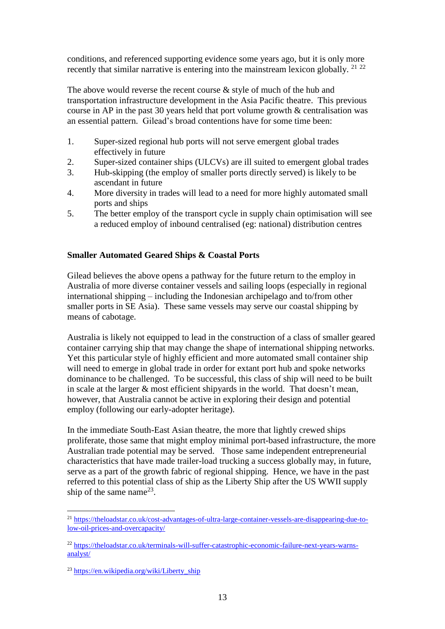conditions, and referenced supporting evidence some years ago, but it is only more recently that similar narrative is entering into the mainstream lexicon globally. <sup>21</sup><sup>22</sup>

The above would reverse the recent course & style of much of the hub and transportation infrastructure development in the Asia Pacific theatre. This previous course in AP in the past 30 years held that port volume growth & centralisation was an essential pattern. Gilead's broad contentions have for some time been:

- 1. Super-sized regional hub ports will not serve emergent global trades effectively in future
- 2. Super-sized container ships (ULCVs) are ill suited to emergent global trades
- 3. Hub-skipping (the employ of smaller ports directly served) is likely to be ascendant in future
- 4. More diversity in trades will lead to a need for more highly automated small ports and ships
- 5. The better employ of the transport cycle in supply chain optimisation will see a reduced employ of inbound centralised (eg: national) distribution centres

## **Smaller Automated Geared Ships & Coastal Ports**

Gilead believes the above opens a pathway for the future return to the employ in Australia of more diverse container vessels and sailing loops (especially in regional international shipping – including the Indonesian archipelago and to/from other smaller ports in SE Asia). These same vessels may serve our coastal shipping by means of cabotage.

Australia is likely not equipped to lead in the construction of a class of smaller geared container carrying ship that may change the shape of international shipping networks. Yet this particular style of highly efficient and more automated small container ship will need to emerge in global trade in order for extant port hub and spoke networks dominance to be challenged. To be successful, this class of ship will need to be built in scale at the larger & most efficient shipyards in the world. That doesn't mean, however, that Australia cannot be active in exploring their design and potential employ (following our early-adopter heritage).

In the immediate South-East Asian theatre, the more that lightly crewed ships proliferate, those same that might employ minimal port-based infrastructure, the more Australian trade potential may be served. Those same independent entrepreneurial characteristics that have made trailer-load trucking a success globally may, in future, serve as a part of the growth fabric of regional shipping. Hence, we have in the past referred to this potential class of ship as the Liberty Ship after the US WWII supply ship of the same name<sup>23</sup>.

<sup>21</sup> [https://theloadstar.co.uk/cost-advantages-of-ultra-large-container-vessels-are-disappearing-due-to](https://theloadstar.co.uk/cost-advantages-of-ultra-large-container-vessels-are-disappearing-due-to-low-oil-prices-and-overcapacity/)[low-oil-prices-and-overcapacity/](https://theloadstar.co.uk/cost-advantages-of-ultra-large-container-vessels-are-disappearing-due-to-low-oil-prices-and-overcapacity/)

<sup>22</sup> [https://theloadstar.co.uk/terminals-will-suffer-catastrophic-economic-failure-next-years-warns](https://theloadstar.co.uk/terminals-will-suffer-catastrophic-economic-failure-next-years-warns-analyst/)[analyst/](https://theloadstar.co.uk/terminals-will-suffer-catastrophic-economic-failure-next-years-warns-analyst/)

 $^{23}$  [https://en.wikipedia.org/wiki/Liberty\\_ship](https://en.wikipedia.org/wiki/Liberty_ship)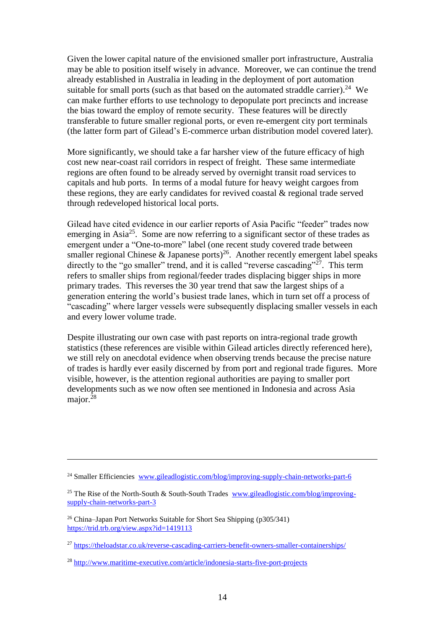Given the lower capital nature of the envisioned smaller port infrastructure, Australia may be able to position itself wisely in advance. Moreover, we can continue the trend already established in Australia in leading in the deployment of port automation suitable for small ports (such as that based on the automated straddle carrier).<sup>24</sup> We can make further efforts to use technology to depopulate port precincts and increase the bias toward the employ of remote security. These features will be directly transferable to future smaller regional ports, or even re-emergent city port terminals (the latter form part of Gilead's E-commerce urban distribution model covered later).

More significantly, we should take a far harsher view of the future efficacy of high cost new near-coast rail corridors in respect of freight. These same intermediate regions are often found to be already served by overnight transit road services to capitals and hub ports. In terms of a modal future for heavy weight cargoes from these regions, they are early candidates for revived coastal & regional trade served through redeveloped historical local ports.

Gilead have cited evidence in our earlier reports of Asia Pacific "feeder" trades now emerging in Asia<sup>25</sup>. Some are now referring to a significant sector of these trades as emergent under a "One-to-more" label (one recent study covered trade between smaller regional Chinese & Japanese ports)<sup>26</sup>. Another recently emergent label speaks directly to the "go smaller" trend, and it is called "reverse cascading"<sup> $27$ </sup>. This term refers to smaller ships from regional/feeder trades displacing bigger ships in more primary trades. This reverses the 30 year trend that saw the largest ships of a generation entering the world's busiest trade lanes, which in turn set off a process of "cascading" where larger vessels were subsequently displacing smaller vessels in each and every lower volume trade.

Despite illustrating our own case with past reports on intra-regional trade growth statistics (these references are visible within Gilead articles directly referenced here), we still rely on anecdotal evidence when observing trends because the precise nature of trades is hardly ever easily discerned by from port and regional trade figures. More visible, however, is the attention regional authorities are paying to smaller port developments such as we now often see mentioned in Indonesia and across Asia major.<sup>28</sup>

<sup>24</sup> Smaller Efficiencies [www.gileadlogistic.com/blog/improving-supply-chain-networks-part-6](http://www.gileadlogistic.com/blog/improving-supply-chain-networks-part-6)

<sup>&</sup>lt;sup>25</sup> The Rise of the North-South & South-South Trades [www.gileadlogistic.com/blog/improving](http://www.gileadlogistic.com/blog/improving-supply-chain-networks-part-3)[supply-chain-networks-part-3](http://www.gileadlogistic.com/blog/improving-supply-chain-networks-part-3)

<sup>26</sup> China–Japan Port Networks Suitable for Short Sea Shipping (p305/341) <https://trid.trb.org/view.aspx?id=1419113>

<sup>27</sup> <https://theloadstar.co.uk/reverse-cascading-carriers-benefit-owners-smaller-containerships/>

<sup>28</sup> <http://www.maritime-executive.com/article/indonesia-starts-five-port-projects>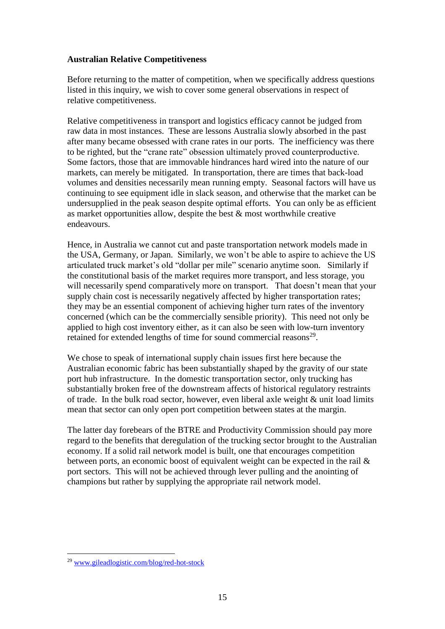### **Australian Relative Competitiveness**

Before returning to the matter of competition, when we specifically address questions listed in this inquiry, we wish to cover some general observations in respect of relative competitiveness.

Relative competitiveness in transport and logistics efficacy cannot be judged from raw data in most instances. These are lessons Australia slowly absorbed in the past after many became obsessed with crane rates in our ports. The inefficiency was there to be righted, but the "crane rate" obsession ultimately proved counterproductive. Some factors, those that are immovable hindrances hard wired into the nature of our markets, can merely be mitigated. In transportation, there are times that back-load volumes and densities necessarily mean running empty. Seasonal factors will have us continuing to see equipment idle in slack season, and otherwise that the market can be undersupplied in the peak season despite optimal efforts. You can only be as efficient as market opportunities allow, despite the best & most worthwhile creative endeavours.

Hence, in Australia we cannot cut and paste transportation network models made in the USA, Germany, or Japan. Similarly, we won't be able to aspire to achieve the US articulated truck market's old "dollar per mile" scenario anytime soon. Similarly if the constitutional basis of the market requires more transport, and less storage, you will necessarily spend comparatively more on transport. That doesn't mean that your supply chain cost is necessarily negatively affected by higher transportation rates; they may be an essential component of achieving higher turn rates of the inventory concerned (which can be the commercially sensible priority). This need not only be applied to high cost inventory either, as it can also be seen with low-turn inventory retained for extended lengths of time for sound commercial reasons $^{29}$ .

We chose to speak of international supply chain issues first here because the Australian economic fabric has been substantially shaped by the gravity of our state port hub infrastructure. In the domestic transportation sector, only trucking has substantially broken free of the downstream affects of historical regulatory restraints of trade. In the bulk road sector, however, even liberal axle weight & unit load limits mean that sector can only open port competition between states at the margin.

The latter day forebears of the BTRE and Productivity Commission should pay more regard to the benefits that deregulation of the trucking sector brought to the Australian economy. If a solid rail network model is built, one that encourages competition between ports, an economic boost of equivalent weight can be expected in the rail & port sectors. This will not be achieved through lever pulling and the anointing of champions but rather by supplying the appropriate rail network model.

<sup>29</sup> [www.gileadlogistic.com/blog/red-hot-stock](http://www.gileadlogistic.com/blog/red-hot-stock)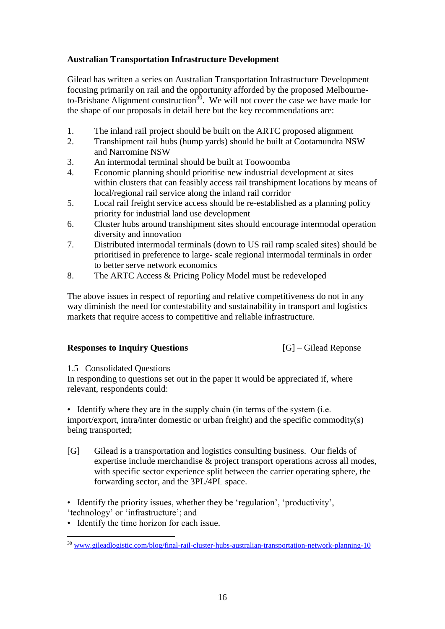# **Australian Transportation Infrastructure Development**

Gilead has written a series on Australian Transportation Infrastructure Development focusing primarily on rail and the opportunity afforded by the proposed Melbourneto-Brisbane Alignment construction<sup>30</sup>. We will not cover the case we have made for the shape of our proposals in detail here but the key recommendations are:

- 1. The inland rail project should be built on the ARTC proposed alignment
- 2. Transhipment rail hubs (hump yards) should be built at Cootamundra NSW and Narromine NSW
- 3. An intermodal terminal should be built at Toowoomba
- 4. Economic planning should prioritise new industrial development at sites within clusters that can feasibly access rail transhipment locations by means of local/regional rail service along the inland rail corridor
- 5. Local rail freight service access should be re-established as a planning policy priority for industrial land use development
- 6. Cluster hubs around transhipment sites should encourage intermodal operation diversity and innovation
- 7. Distributed intermodal terminals (down to US rail ramp scaled sites) should be prioritised in preference to large- scale regional intermodal terminals in order to better serve network economics
- 8. The ARTC Access & Pricing Policy Model must be redeveloped

The above issues in respect of reporting and relative competitiveness do not in any way diminish the need for contestability and sustainability in transport and logistics markets that require access to competitive and reliable infrastructure.

# **Responses to Inquiry Questions** [G] – Gilead Reponse

# 1.5 Consolidated Questions

In responding to questions set out in the paper it would be appreciated if, where relevant, respondents could:

• Identify where they are in the supply chain (in terms of the system (i.e. import/export, intra/inter domestic or urban freight) and the specific commodity(s) being transported;

[G] Gilead is a transportation and logistics consulting business. Our fields of expertise include merchandise & project transport operations across all modes, with specific sector experience split between the carrier operating sphere, the forwarding sector, and the 3PL/4PL space.

• Identify the priority issues, whether they be 'regulation', 'productivity', 'technology' or 'infrastructure'; and

• Identify the time horizon for each issue.

<u>.</u>

<sup>&</sup>lt;sup>30</sup> [www.gileadlogistic.com/blog/final-rail-cluster-hubs-australian-transportation-network-planning-10](http://www.gileadlogistic.com/blog/final-rail-cluster-hubs-australian-transportation-network-planning-10)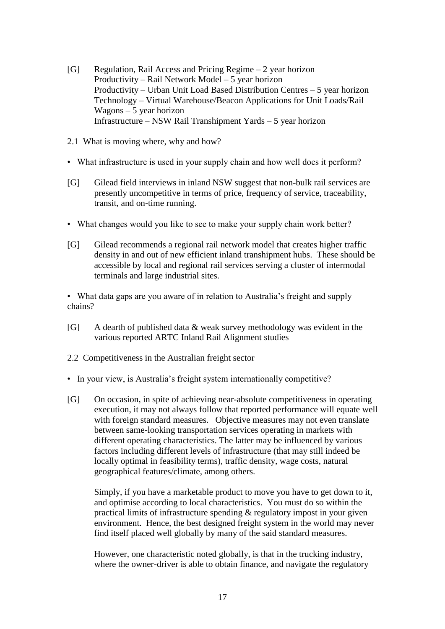- [G] Regulation, Rail Access and Pricing Regime 2 year horizon Productivity – Rail Network Model – 5 year horizon Productivity – Urban Unit Load Based Distribution Centres – 5 year horizon Technology – Virtual Warehouse/Beacon Applications for Unit Loads/Rail Wagons – 5 year horizon Infrastructure – NSW Rail Transhipment Yards – 5 year horizon
- 2.1 What is moving where, why and how?
- What infrastructure is used in your supply chain and how well does it perform?
- [G] Gilead field interviews in inland NSW suggest that non-bulk rail services are presently uncompetitive in terms of price, frequency of service, traceability, transit, and on-time running.
- What changes would you like to see to make your supply chain work better?
- [G] Gilead recommends a regional rail network model that creates higher traffic density in and out of new efficient inland transhipment hubs. These should be accessible by local and regional rail services serving a cluster of intermodal terminals and large industrial sites.

• What data gaps are you aware of in relation to Australia's freight and supply chains?

- [G] A dearth of published data & weak survey methodology was evident in the various reported ARTC Inland Rail Alignment studies
- 2.2 Competitiveness in the Australian freight sector
- In your view, is Australia's freight system internationally competitive?
- [G] On occasion, in spite of achieving near-absolute competitiveness in operating execution, it may not always follow that reported performance will equate well with foreign standard measures. Objective measures may not even translate between same-looking transportation services operating in markets with different operating characteristics. The latter may be influenced by various factors including different levels of infrastructure (that may still indeed be locally optimal in feasibility terms), traffic density, wage costs, natural geographical features/climate, among others.

Simply, if you have a marketable product to move you have to get down to it, and optimise according to local characteristics. You must do so within the practical limits of infrastructure spending & regulatory impost in your given environment. Hence, the best designed freight system in the world may never find itself placed well globally by many of the said standard measures.

However, one characteristic noted globally, is that in the trucking industry, where the owner-driver is able to obtain finance, and navigate the regulatory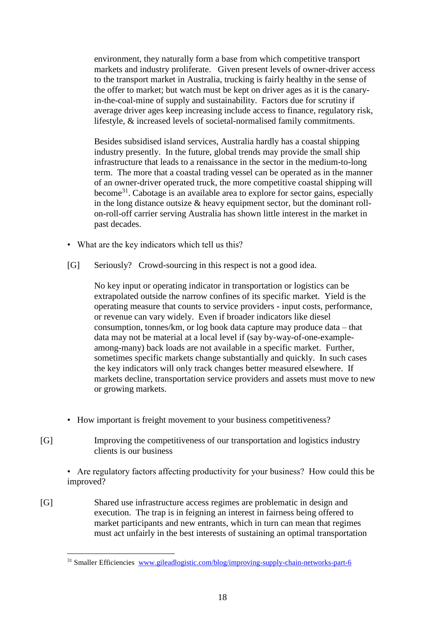environment, they naturally form a base from which competitive transport markets and industry proliferate. Given present levels of owner-driver access to the transport market in Australia, trucking is fairly healthy in the sense of the offer to market; but watch must be kept on driver ages as it is the canaryin-the-coal-mine of supply and sustainability. Factors due for scrutiny if average driver ages keep increasing include access to finance, regulatory risk, lifestyle, & increased levels of societal-normalised family commitments.

Besides subsidised island services, Australia hardly has a coastal shipping industry presently. In the future, global trends may provide the small ship infrastructure that leads to a renaissance in the sector in the medium-to-long term. The more that a coastal trading vessel can be operated as in the manner of an owner-driver operated truck, the more competitive coastal shipping will become<sup>31</sup>. Cabotage is an available area to explore for sector gains, especially in the long distance outsize & heavy equipment sector, but the dominant rollon-roll-off carrier serving Australia has shown little interest in the market in past decades.

- What are the key indicators which tell us this?
- [G] Seriously? Crowd-sourcing in this respect is not a good idea.

No key input or operating indicator in transportation or logistics can be extrapolated outside the narrow confines of its specific market. Yield is the operating measure that counts to service providers - input costs, performance, or revenue can vary widely. Even if broader indicators like diesel consumption, tonnes/km, or log book data capture may produce data – that data may not be material at a local level if (say by-way-of-one-exampleamong-many) back loads are not available in a specific market. Further, sometimes specific markets change substantially and quickly. In such cases the key indicators will only track changes better measured elsewhere. If markets decline, transportation service providers and assets must move to new or growing markets.

- How important is freight movement to your business competitiveness?
- [G] Improving the competitiveness of our transportation and logistics industry clients is our business

• Are regulatory factors affecting productivity for your business? How could this be improved?

[G] Shared use infrastructure access regimes are problematic in design and execution. The trap is in feigning an interest in fairness being offered to market participants and new entrants, which in turn can mean that regimes must act unfairly in the best interests of sustaining an optimal transportation

<sup>&</sup>lt;sup>31</sup> Smaller Efficiencies [www.gileadlogistic.com/blog/improving-supply-chain-networks-part-6](http://www.gileadlogistic.com/blog/improving-supply-chain-networks-part-6)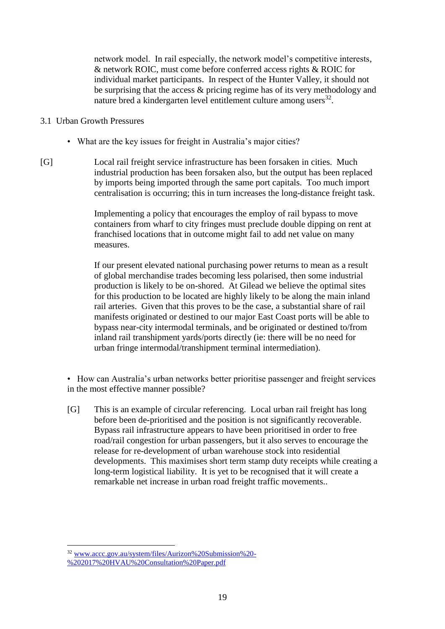network model. In rail especially, the network model's competitive interests, & network ROIC, must come before conferred access rights & ROIC for individual market participants. In respect of the Hunter Valley, it should not be surprising that the access & pricing regime has of its very methodology and nature bred a kindergarten level entitlement culture among users $^{32}$ .

- 3.1 Urban Growth Pressures
	- What are the key issues for freight in Australia's major cities?
- [G] Local rail freight service infrastructure has been forsaken in cities. Much industrial production has been forsaken also, but the output has been replaced by imports being imported through the same port capitals. Too much import centralisation is occurring; this in turn increases the long-distance freight task.

Implementing a policy that encourages the employ of rail bypass to move containers from wharf to city fringes must preclude double dipping on rent at franchised locations that in outcome might fail to add net value on many measures.

If our present elevated national purchasing power returns to mean as a result of global merchandise trades becoming less polarised, then some industrial production is likely to be on-shored. At Gilead we believe the optimal sites for this production to be located are highly likely to be along the main inland rail arteries. Given that this proves to be the case, a substantial share of rail manifests originated or destined to our major East Coast ports will be able to bypass near-city intermodal terminals, and be originated or destined to/from inland rail transhipment yards/ports directly (ie: there will be no need for urban fringe intermodal/transhipment terminal intermediation).

• How can Australia's urban networks better prioritise passenger and freight services in the most effective manner possible?

[G] This is an example of circular referencing. Local urban rail freight has long before been de-prioritised and the position is not significantly recoverable. Bypass rail infrastructure appears to have been prioritised in order to free road/rail congestion for urban passengers, but it also serves to encourage the release for re-development of urban warehouse stock into residential developments. This maximises short term stamp duty receipts while creating a long-term logistical liability. It is yet to be recognised that it will create a remarkable net increase in urban road freight traffic movements..

<sup>32</sup> [www.accc.gov.au/system/files/Aurizon%20Submission%20-](http://www.accc.gov.au/system/files/Aurizon%20Submission%20-%202017%20HVAU%20Consultation%20Paper.pdf) [%202017%20HVAU%20Consultation%20Paper.pdf](http://www.accc.gov.au/system/files/Aurizon%20Submission%20-%202017%20HVAU%20Consultation%20Paper.pdf)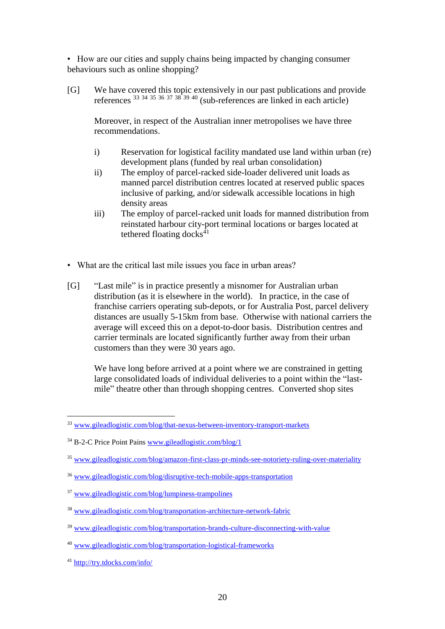• How are our cities and supply chains being impacted by changing consumer behaviours such as online shopping?

[G] We have covered this topic extensively in our past publications and provide references  $^{33}$   $^{34}$   $^{35}$   $^{36}$   $^{37}$   $^{38}$   $^{39}$   $^{40}$  (sub-references are linked in each article)

Moreover, in respect of the Australian inner metropolises we have three recommendations.

- i) Reservation for logistical facility mandated use land within urban (re) development plans (funded by real urban consolidation)
- ii) The employ of parcel-racked side-loader delivered unit loads as manned parcel distribution centres located at reserved public spaces inclusive of parking, and/or sidewalk accessible locations in high density areas
- iii) The employ of parcel-racked unit loads for manned distribution from reinstated harbour city-port terminal locations or barges located at tethered floating docks<sup>41</sup>
- What are the critical last mile issues you face in urban areas?
- [G] "Last mile" is in practice presently a misnomer for Australian urban distribution (as it is elsewhere in the world). In practice, in the case of franchise carriers operating sub-depots, or for Australia Post, parcel delivery distances are usually 5-15km from base. Otherwise with national carriers the average will exceed this on a depot-to-door basis. Distribution centres and carrier terminals are located significantly further away from their urban customers than they were 30 years ago.

We have long before arrived at a point where we are constrained in getting large consolidated loads of individual deliveries to a point within the "lastmile" theatre other than through shopping centres. Converted shop sites

<sup>&</sup>lt;sup>33</sup> [www.gileadlogistic.com/blog/that-nexus-between-inventory-transport-markets](http://www.gileadlogistic.com/blog/that-nexus-between-inventory-transport-markets)

<sup>34</sup> B-2-C Price Point Pains [www.gileadlogistic.com/blog/1](http://www.gileadlogistic.com/blog/1)

<sup>35</sup> [www.gileadlogistic.com/blog/amazon-first-class-pr-minds-see-notoriety-ruling-over-materiality](http://www.gileadlogistic.com/blog/amazon-first-class-pr-minds-see-notoriety-ruling-over-materiality)

<sup>36</sup> [www.gileadlogistic.com/blog/disruptive-tech-mobile-apps-transportation](http://www.gileadlogistic.com/blog/disruptive-tech-mobile-apps-transportation)

<sup>37</sup> [www.gileadlogistic.com/blog/lumpiness-trampolines](http://www.gileadlogistic.com/blog/lumpiness-trampolines)

<sup>38</sup> [www.gileadlogistic.com/blog/transportation-architecture-network-fabric](http://www.gileadlogistic.com/blog/transportation-architecture-network-fabric)

<sup>39</sup> [www.gileadlogistic.com/blog/transportation-brands-culture-disconnecting-with-value](http://www.gileadlogistic.com/blog/transportation-brands-culture-disconnecting-with-value)

<sup>40</sup> [www.gileadlogistic.com/blog/transportation-logistical-frameworks](http://www.gileadlogistic.com/blog/transportation-logistical-frameworks)

<sup>41</sup> <http://try.tdocks.com/info/>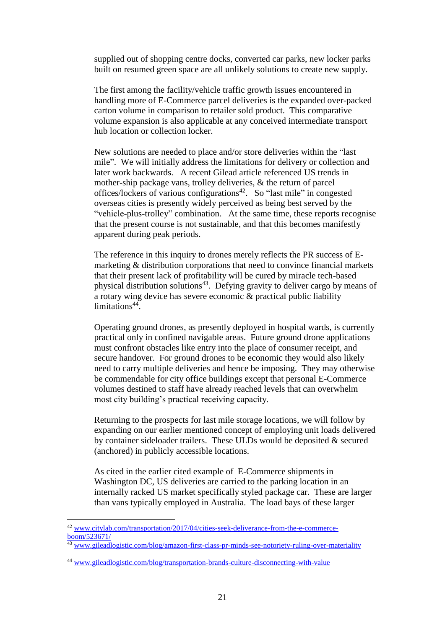supplied out of shopping centre docks, converted car parks, new locker parks built on resumed green space are all unlikely solutions to create new supply.

The first among the facility/vehicle traffic growth issues encountered in handling more of E-Commerce parcel deliveries is the expanded over-packed carton volume in comparison to retailer sold product. This comparative volume expansion is also applicable at any conceived intermediate transport hub location or collection locker.

New solutions are needed to place and/or store deliveries within the "last mile". We will initially address the limitations for delivery or collection and later work backwards. A recent Gilead article referenced US trends in mother-ship package vans, trolley deliveries, & the return of parcel offices/lockers of various configurations<sup>42</sup>. So "last mile" in congested overseas cities is presently widely perceived as being best served by the "vehicle-plus-trolley" combination. At the same time, these reports recognise that the present course is not sustainable, and that this becomes manifestly apparent during peak periods.

The reference in this inquiry to drones merely reflects the PR success of Emarketing & distribution corporations that need to convince financial markets that their present lack of profitability will be cured by miracle tech-based physical distribution solutions<sup>43</sup>. Defying gravity to deliver cargo by means of a rotary wing device has severe economic & practical public liability limitations<sup>44</sup>.

Operating ground drones, as presently deployed in hospital wards, is currently practical only in confined navigable areas. Future ground drone applications must confront obstacles like entry into the place of consumer receipt, and secure handover. For ground drones to be economic they would also likely need to carry multiple deliveries and hence be imposing. They may otherwise be commendable for city office buildings except that personal E-Commerce volumes destined to staff have already reached levels that can overwhelm most city building's practical receiving capacity.

Returning to the prospects for last mile storage locations, we will follow by expanding on our earlier mentioned concept of employing unit loads delivered by container sideloader trailers. These ULDs would be deposited & secured (anchored) in publicly accessible locations.

As cited in the earlier cited example of E-Commerce shipments in Washington DC, US deliveries are carried to the parking location in an internally racked US market specifically styled package car. These are larger than vans typically employed in Australia. The load bays of these larger

<sup>42</sup> [www.citylab.com/transportation/2017/04/cities-seek-deliverance-from-the-e-commerce](http://www.citylab.com/transportation/2017/04/cities-seek-deliverance-from-the-e-commerce-boom/523671/)[boom/523671/](http://www.citylab.com/transportation/2017/04/cities-seek-deliverance-from-the-e-commerce-boom/523671/)

 $\frac{43}{43}$  [www.gileadlogistic.com/blog/amazon-first-class-pr-minds-see-notoriety-ruling-over-materiality](http://www.gileadlogistic.com/blog/amazon-first-class-pr-minds-see-notoriety-ruling-over-materiality)

<sup>44</sup> [www.gileadlogistic.com/blog/transportation-brands-culture-disconnecting-with-value](http://www.gileadlogistic.com/blog/transportation-brands-culture-disconnecting-with-value)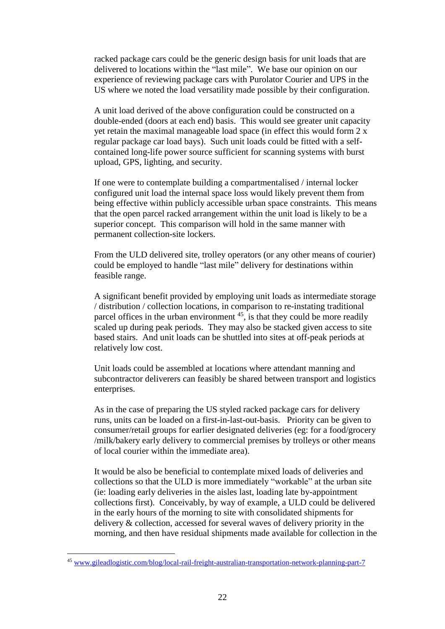racked package cars could be the generic design basis for unit loads that are delivered to locations within the "last mile". We base our opinion on our experience of reviewing package cars with Purolator Courier and UPS in the US where we noted the load versatility made possible by their configuration.

A unit load derived of the above configuration could be constructed on a double-ended (doors at each end) basis. This would see greater unit capacity yet retain the maximal manageable load space (in effect this would form 2 x regular package car load bays). Such unit loads could be fitted with a selfcontained long-life power source sufficient for scanning systems with burst upload, GPS, lighting, and security.

If one were to contemplate building a compartmentalised / internal locker configured unit load the internal space loss would likely prevent them from being effective within publicly accessible urban space constraints. This means that the open parcel racked arrangement within the unit load is likely to be a superior concept. This comparison will hold in the same manner with permanent collection-site lockers.

From the ULD delivered site, trolley operators (or any other means of courier) could be employed to handle "last mile" delivery for destinations within feasible range.

A significant benefit provided by employing unit loads as intermediate storage / distribution / collection locations, in comparison to re-instating traditional parcel offices in the urban environment <sup>45</sup>, is that they could be more readily scaled up during peak periods. They may also be stacked given access to site based stairs. And unit loads can be shuttled into sites at off-peak periods at relatively low cost.

Unit loads could be assembled at locations where attendant manning and subcontractor deliverers can feasibly be shared between transport and logistics enterprises.

As in the case of preparing the US styled racked package cars for delivery runs, units can be loaded on a first-in-last-out-basis. Priority can be given to consumer/retail groups for earlier designated deliveries (eg: for a food/grocery /milk/bakery early delivery to commercial premises by trolleys or other means of local courier within the immediate area).

It would be also be beneficial to contemplate mixed loads of deliveries and collections so that the ULD is more immediately "workable" at the urban site (ie: loading early deliveries in the aisles last, loading late by-appointment collections first). Conceivably, by way of example, a ULD could be delivered in the early hours of the morning to site with consolidated shipments for delivery & collection, accessed for several waves of delivery priority in the morning, and then have residual shipments made available for collection in the

<sup>45</sup> [www.gileadlogistic.com/blog/local-rail-freight-australian-transportation-network-planning-part-7](http://www.gileadlogistic.com/blog/local-rail-freight-australian-transportation-network-planning-part-7)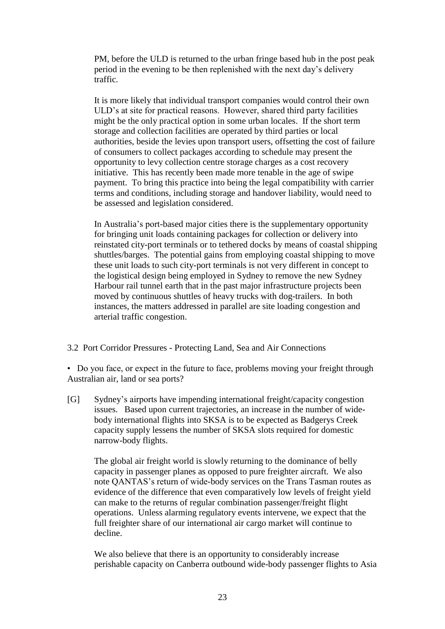PM, before the ULD is returned to the urban fringe based hub in the post peak period in the evening to be then replenished with the next day's delivery traffic.

It is more likely that individual transport companies would control their own ULD's at site for practical reasons. However, shared third party facilities might be the only practical option in some urban locales. If the short term storage and collection facilities are operated by third parties or local authorities, beside the levies upon transport users, offsetting the cost of failure of consumers to collect packages according to schedule may present the opportunity to levy collection centre storage charges as a cost recovery initiative. This has recently been made more tenable in the age of swipe payment. To bring this practice into being the legal compatibility with carrier terms and conditions, including storage and handover liability, would need to be assessed and legislation considered.

In Australia's port-based major cities there is the supplementary opportunity for bringing unit loads containing packages for collection or delivery into reinstated city-port terminals or to tethered docks by means of coastal shipping shuttles/barges. The potential gains from employing coastal shipping to move these unit loads to such city-port terminals is not very different in concept to the logistical design being employed in Sydney to remove the new Sydney Harbour rail tunnel earth that in the past major infrastructure projects been moved by continuous shuttles of heavy trucks with dog-trailers. In both instances, the matters addressed in parallel are site loading congestion and arterial traffic congestion.

### 3.2 Port Corridor Pressures - Protecting Land, Sea and Air Connections

• Do you face, or expect in the future to face, problems moving your freight through Australian air, land or sea ports?

[G] Sydney's airports have impending international freight/capacity congestion issues. Based upon current trajectories, an increase in the number of widebody international flights into SKSA is to be expected as Badgerys Creek capacity supply lessens the number of SKSA slots required for domestic narrow-body flights.

The global air freight world is slowly returning to the dominance of belly capacity in passenger planes as opposed to pure freighter aircraft. We also note QANTAS's return of wide-body services on the Trans Tasman routes as evidence of the difference that even comparatively low levels of freight yield can make to the returns of regular combination passenger/freight flight operations. Unless alarming regulatory events intervene, we expect that the full freighter share of our international air cargo market will continue to decline.

We also believe that there is an opportunity to considerably increase perishable capacity on Canberra outbound wide-body passenger flights to Asia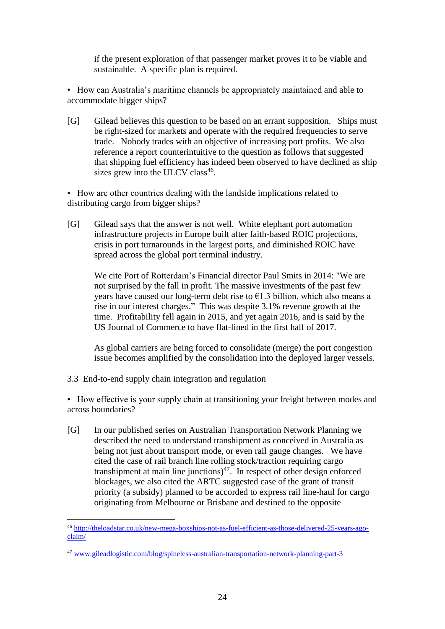if the present exploration of that passenger market proves it to be viable and sustainable. A specific plan is required.

• How can Australia's maritime channels be appropriately maintained and able to accommodate bigger ships?

[G] Gilead believes this question to be based on an errant supposition. Ships must be right-sized for markets and operate with the required frequencies to serve trade. Nobody trades with an objective of increasing port profits. We also reference a report counterintuitive to the question as follows that suggested that shipping fuel efficiency has indeed been observed to have declined as ship sizes grew into the ULCV class<sup>46</sup>.

• How are other countries dealing with the landside implications related to distributing cargo from bigger ships?

[G] Gilead says that the answer is not well. White elephant port automation infrastructure projects in Europe built after faith-based ROIC projections, crisis in port turnarounds in the largest ports, and diminished ROIC have spread across the global port terminal industry.

We cite Port of Rotterdam's Financial director Paul Smits in 2014: "We are not surprised by the fall in profit. The massive investments of the past few years have caused our long-term debt rise to  $\epsilon$ 1.3 billion, which also means a rise in our interest charges." This was despite 3.1% revenue growth at the time. Profitability fell again in 2015, and yet again 2016, and is said by the US Journal of Commerce to have flat-lined in the first half of 2017.

As global carriers are being forced to consolidate (merge) the port congestion issue becomes amplified by the consolidation into the deployed larger vessels.

3.3 End-to-end supply chain integration and regulation

• How effective is your supply chain at transitioning your freight between modes and across boundaries?

[G] In our published series on Australian Transportation Network Planning we described the need to understand transhipment as conceived in Australia as being not just about transport mode, or even rail gauge changes. We have cited the case of rail branch line rolling stock/traction requiring cargo transhipment at main line junctions) 47 . In respect of other design enforced blockages, we also cited the ARTC suggested case of the grant of transit priority (a subsidy) planned to be accorded to express rail line-haul for cargo originating from Melbourne or Brisbane and destined to the opposite

<sup>1</sup> <sup>46</sup> [http://theloadstar.co.uk/new-mega-boxships-not-as-fuel-efficient-as-those-delivered-25-years-ago](http://theloadstar.co.uk/new-mega-boxships-not-as-fuel-efficient-as-those-delivered-25-years-ago-claim/)[claim/](http://theloadstar.co.uk/new-mega-boxships-not-as-fuel-efficient-as-those-delivered-25-years-ago-claim/)

<sup>47</sup> [www.gileadlogistic.com/blog/spineless-australian-transportation-network-planning-part-3](http://www.gileadlogistic.com/blog/spineless-australian-transportation-network-planning-part-3)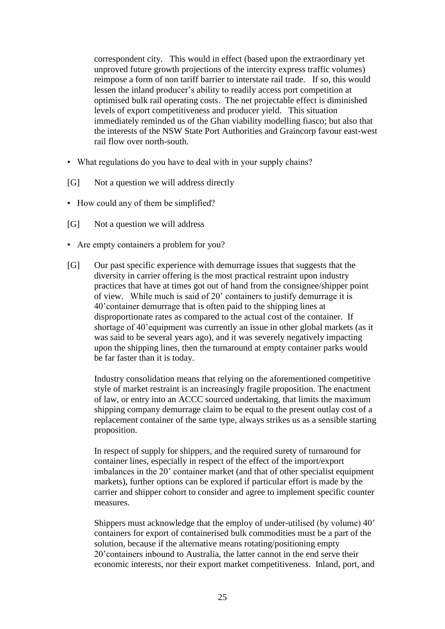correspondent city. This would in effect (based upon the extraordinary yet unproved future growth projections of the intercity express traffic volumes) reimpose a form of non tariff barrier to interstate rail trade. If so, this would lessen the inland producer's ability to readily access port competition at optimised bulk rail operating costs. The net projectable effect is diminished levels of export competitiveness and producer yield. This situation immediately reminded us of the Ghan viability modelling fiasco; but also that the interests of the NSW State Port Authorities and Graincorp favour east-west rail flow over north-south.

- What regulations do you have to deal with in your supply chains?
- [G] Not a question we will address directly
- How could any of them be simplified?
- [G] Not a question we will address
- Are empty containers a problem for you?
- [G] Our past specific experience with demurrage issues that suggests that the diversity in carrier offering is the most practical restraint upon industry practices that have at times got out of hand from the consignee/shipper point of view. While much is said of 20' containers to justify demurrage it is 40'container demurrage that is often paid to the shipping lines at disproportionate rates as compared to the actual cost of the container. If shortage of 40'equipment was currently an issue in other global markets (as it was said to be several years ago), and it was severely negatively impacting upon the shipping lines, then the turnaround at empty container parks would be far faster than it is today.

Industry consolidation means that relying on the aforementioned competitive style of market restraint is an increasingly fragile proposition. The enactment of law, or entry into an ACCC sourced undertaking, that limits the maximum shipping company demurrage claim to be equal to the present outlay cost of a replacement container of the same type, always strikes us as a sensible starting proposition.

In respect of supply for shippers, and the required surety of turnaround for container lines, especially in respect of the effect of the import/export imbalances in the 20' container market (and that of other specialist equipment markets), further options can be explored if particular effort is made by the carrier and shipper cohort to consider and agree to implement specific counter measures.

Shippers must acknowledge that the employ of under-utilised (by volume) 40' containers for export of containerised bulk commodities must be a part of the solution, because if the alternative means rotating/positioning empty 20'containers inbound to Australia, the latter cannot in the end serve their economic interests, nor their export market competitiveness. Inland, port, and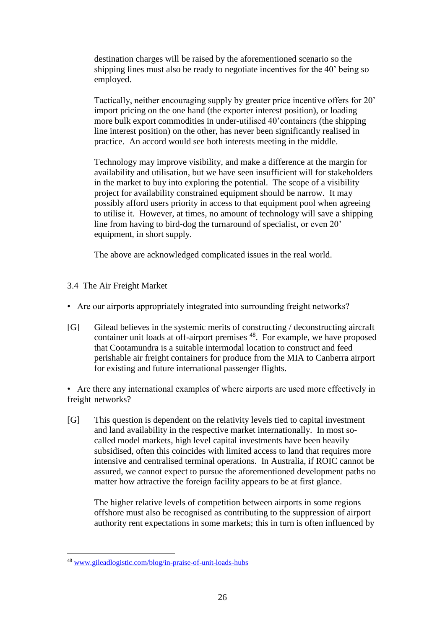destination charges will be raised by the aforementioned scenario so the shipping lines must also be ready to negotiate incentives for the 40' being so employed.

Tactically, neither encouraging supply by greater price incentive offers for 20' import pricing on the one hand (the exporter interest position), or loading more bulk export commodities in under-utilised 40'containers (the shipping line interest position) on the other, has never been significantly realised in practice. An accord would see both interests meeting in the middle.

Technology may improve visibility, and make a difference at the margin for availability and utilisation, but we have seen insufficient will for stakeholders in the market to buy into exploring the potential. The scope of a visibility project for availability constrained equipment should be narrow. It may possibly afford users priority in access to that equipment pool when agreeing to utilise it. However, at times, no amount of technology will save a shipping line from having to bird-dog the turnaround of specialist, or even 20' equipment, in short supply.

The above are acknowledged complicated issues in the real world.

- 3.4 The Air Freight Market
- Are our airports appropriately integrated into surrounding freight networks?
- [G] Gilead believes in the systemic merits of constructing / deconstructing aircraft container unit loads at off-airport premises <sup>48</sup>. For example, we have proposed that Cootamundra is a suitable intermodal location to construct and feed perishable air freight containers for produce from the MIA to Canberra airport for existing and future international passenger flights.

• Are there any international examples of where airports are used more effectively in freight networks?

[G] This question is dependent on the relativity levels tied to capital investment and land availability in the respective market internationally. In most socalled model markets, high level capital investments have been heavily subsidised, often this coincides with limited access to land that requires more intensive and centralised terminal operations. In Australia, if ROIC cannot be assured, we cannot expect to pursue the aforementioned development paths no matter how attractive the foreign facility appears to be at first glance.

The higher relative levels of competition between airports in some regions offshore must also be recognised as contributing to the suppression of airport authority rent expectations in some markets; this in turn is often influenced by

<sup>48</sup> [www.gileadlogistic.com/blog/in-praise-of-unit-loads-hubs](http://www.gileadlogistic.com/blog/in-praise-of-unit-loads-hubs)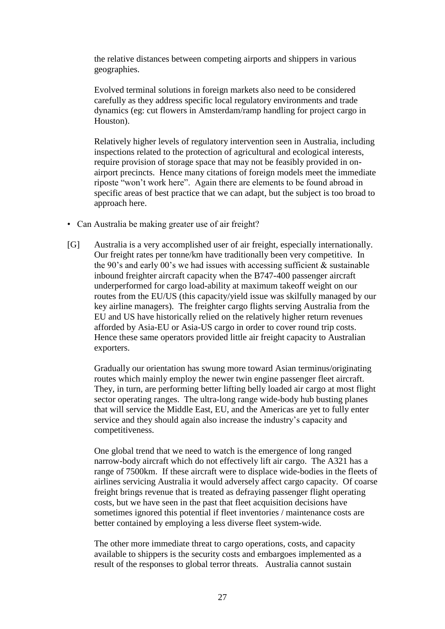the relative distances between competing airports and shippers in various geographies.

Evolved terminal solutions in foreign markets also need to be considered carefully as they address specific local regulatory environments and trade dynamics (eg: cut flowers in Amsterdam/ramp handling for project cargo in Houston).

Relatively higher levels of regulatory intervention seen in Australia, including inspections related to the protection of agricultural and ecological interests, require provision of storage space that may not be feasibly provided in onairport precincts. Hence many citations of foreign models meet the immediate riposte "won't work here". Again there are elements to be found abroad in specific areas of best practice that we can adapt, but the subject is too broad to approach here.

- Can Australia be making greater use of air freight?
- [G] Australia is a very accomplished user of air freight, especially internationally. Our freight rates per tonne/km have traditionally been very competitive. In the 90's and early 00's we had issues with accessing sufficient  $\&$  sustainable inbound freighter aircraft capacity when the B747-400 passenger aircraft underperformed for cargo load-ability at maximum takeoff weight on our routes from the EU/US (this capacity/yield issue was skilfully managed by our key airline managers). The freighter cargo flights serving Australia from the EU and US have historically relied on the relatively higher return revenues afforded by Asia-EU or Asia-US cargo in order to cover round trip costs. Hence these same operators provided little air freight capacity to Australian exporters.

Gradually our orientation has swung more toward Asian terminus/originating routes which mainly employ the newer twin engine passenger fleet aircraft. They, in turn, are performing better lifting belly loaded air cargo at most flight sector operating ranges. The ultra-long range wide-body hub busting planes that will service the Middle East, EU, and the Americas are yet to fully enter service and they should again also increase the industry's capacity and competitiveness.

One global trend that we need to watch is the emergence of long ranged narrow-body aircraft which do not effectively lift air cargo. The A321 has a range of 7500km. If these aircraft were to displace wide-bodies in the fleets of airlines servicing Australia it would adversely affect cargo capacity. Of coarse freight brings revenue that is treated as defraying passenger flight operating costs, but we have seen in the past that fleet acquisition decisions have sometimes ignored this potential if fleet inventories / maintenance costs are better contained by employing a less diverse fleet system-wide.

The other more immediate threat to cargo operations, costs, and capacity available to shippers is the security costs and embargoes implemented as a result of the responses to global terror threats. Australia cannot sustain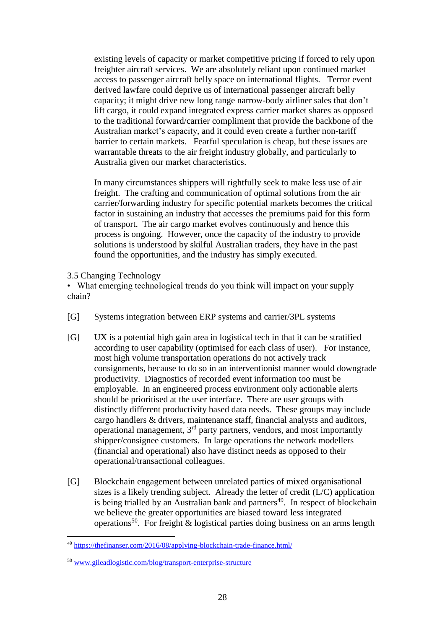existing levels of capacity or market competitive pricing if forced to rely upon freighter aircraft services. We are absolutely reliant upon continued market access to passenger aircraft belly space on international flights. Terror event derived lawfare could deprive us of international passenger aircraft belly capacity; it might drive new long range narrow-body airliner sales that don't lift cargo, it could expand integrated express carrier market shares as opposed to the traditional forward/carrier compliment that provide the backbone of the Australian market's capacity, and it could even create a further non-tariff barrier to certain markets. Fearful speculation is cheap, but these issues are warrantable threats to the air freight industry globally, and particularly to Australia given our market characteristics.

In many circumstances shippers will rightfully seek to make less use of air freight. The crafting and communication of optimal solutions from the air carrier/forwarding industry for specific potential markets becomes the critical factor in sustaining an industry that accesses the premiums paid for this form of transport. The air cargo market evolves continuously and hence this process is ongoing. However, once the capacity of the industry to provide solutions is understood by skilful Australian traders, they have in the past found the opportunities, and the industry has simply executed.

3.5 Changing Technology

• What emerging technological trends do you think will impact on your supply chain?

- [G] Systems integration between ERP systems and carrier/3PL systems
- [G] UX is a potential high gain area in logistical tech in that it can be stratified according to user capability (optimised for each class of user). For instance, most high volume transportation operations do not actively track consignments, because to do so in an interventionist manner would downgrade productivity. Diagnostics of recorded event information too must be employable. In an engineered process environment only actionable alerts should be prioritised at the user interface. There are user groups with distinctly different productivity based data needs. These groups may include cargo handlers & drivers, maintenance staff, financial analysts and auditors, operational management, 3<sup>rd</sup> party partners, vendors, and most importantly shipper/consignee customers. In large operations the network modellers (financial and operational) also have distinct needs as opposed to their operational/transactional colleagues.
- [G] Blockchain engagement between unrelated parties of mixed organisational sizes is a likely trending subject. Already the letter of credit (L/C) application is being trialled by an Australian bank and partners<sup>49</sup>. In respect of blockchain we believe the greater opportunities are biased toward less integrated operations<sup>50</sup>. For freight & logistical parties doing business on an arms length

<u>.</u>

<sup>49</sup> <https://thefinanser.com/2016/08/applying-blockchain-trade-finance.html/>

<sup>50</sup> [www.gileadlogistic.com/blog/transport-enterprise-structure](http://www.gileadlogistic.com/blog/transport-enterprise-structure)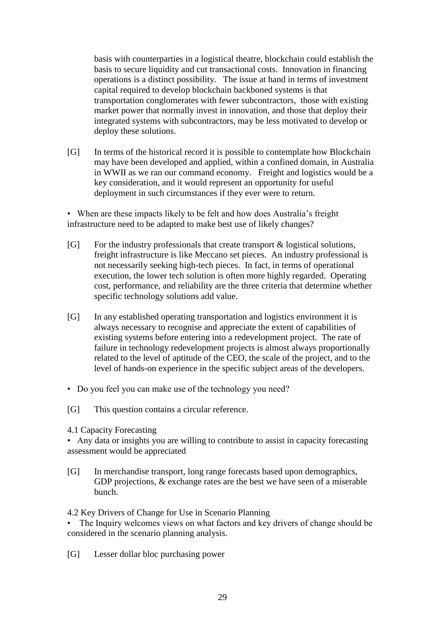basis with counterparties in a logistical theatre, blockchain could establish the basis to secure liquidity and cut transactional costs. Innovation in financing operations is a distinct possibility. The issue at hand in terms of investment capital required to develop blockchain backboned systems is that transportation conglomerates with fewer subcontractors, those with existing market power that normally invest in innovation, and those that deploy their integrated systems with subcontractors, may be less motivated to develop or deploy these solutions.

[G] In terms of the historical record it is possible to contemplate how Blockchain may have been developed and applied, within a confined domain, in Australia in WWII as we ran our command economy. Freight and logistics would be a key consideration, and it would represent an opportunity for useful deployment in such circumstances if they ever were to return.

• When are these impacts likely to be felt and how does Australia's freight infrastructure need to be adapted to make best use of likely changes?

- [G] For the industry professionals that create transport & logistical solutions, freight infrastructure is like Meccano set pieces. An industry professional is not necessarily seeking high-tech pieces. In fact, in terms of operational execution, the lower tech solution is often more highly regarded. Operating cost, performance, and reliability are the three criteria that determine whether specific technology solutions add value.
- [G] In any established operating transportation and logistics environment it is always necessary to recognise and appreciate the extent of capabilities of existing systems before entering into a redevelopment project. The rate of failure in technology redevelopment projects is almost always proportionally related to the level of aptitude of the CEO, the scale of the project, and to the level of hands-on experience in the specific subject areas of the developers.
- Do you feel you can make use of the technology you need?
- [G] This question contains a circular reference.
- 4.1 Capacity Forecasting

• Any data or insights you are willing to contribute to assist in capacity forecasting assessment would be appreciated

[G] In merchandise transport, long range forecasts based upon demographics, GDP projections, & exchange rates are the best we have seen of a miserable bunch.

4.2 Key Drivers of Change for Use in Scenario Planning

The Inquiry welcomes views on what factors and key drivers of change should be considered in the scenario planning analysis.

[G] Lesser dollar bloc purchasing power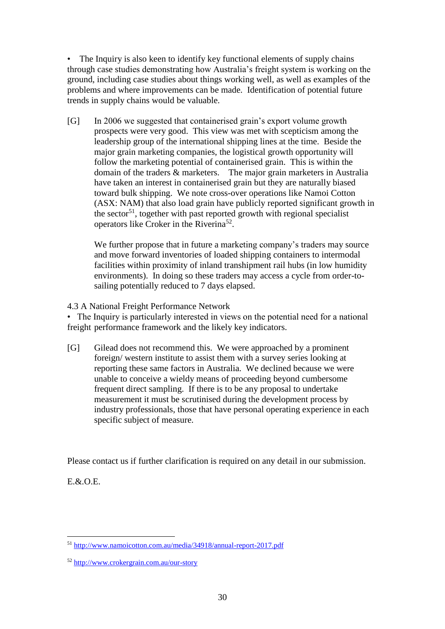• The Inquiry is also keen to identify key functional elements of supply chains through case studies demonstrating how Australia's freight system is working on the ground, including case studies about things working well, as well as examples of the problems and where improvements can be made. Identification of potential future trends in supply chains would be valuable.

[G] In 2006 we suggested that containerised grain's export volume growth prospects were very good. This view was met with scepticism among the leadership group of the international shipping lines at the time. Beside the major grain marketing companies, the logistical growth opportunity will follow the marketing potential of containerised grain. This is within the domain of the traders & marketers. The major grain marketers in Australia have taken an interest in containerised grain but they are naturally biased toward bulk shipping. We note cross-over operations like Namoi Cotton (ASX: NAM) that also load grain have publicly reported significant growth in the sector<sup>51</sup>, together with past reported growth with regional specialist operators like Croker in the Riverina<sup>52</sup>.

We further propose that in future a marketing company's traders may source and move forward inventories of loaded shipping containers to intermodal facilities within proximity of inland transhipment rail hubs (in low humidity environments). In doing so these traders may access a cycle from order-tosailing potentially reduced to 7 days elapsed.

4.3 A National Freight Performance Network

• The Inquiry is particularly interested in views on the potential need for a national freight performance framework and the likely key indicators.

[G] Gilead does not recommend this. We were approached by a prominent foreign/ western institute to assist them with a survey series looking at reporting these same factors in Australia. We declined because we were unable to conceive a wieldy means of proceeding beyond cumbersome frequent direct sampling. If there is to be any proposal to undertake measurement it must be scrutinised during the development process by industry professionals, those that have personal operating experience in each specific subject of measure.

Please contact us if further clarification is required on any detail in our submission.

E.&.O.E.

<sup>&</sup>lt;u>.</u> <sup>51</sup> <http://www.namoicotton.com.au/media/34918/annual-report-2017.pdf>

<sup>52</sup> <http://www.crokergrain.com.au/our-story>